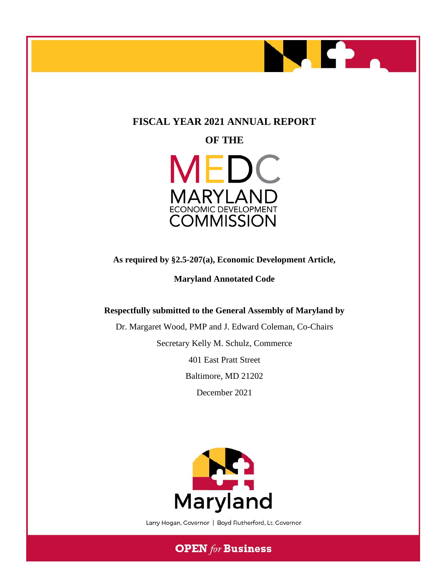

# **FISCAL YEAR 2021 ANNUAL REPORT**

**OF THE**



**As required by §2.5-207(a), Economic Development Article,** 

**Maryland Annotated Code**

# **Respectfully submitted to the General Assembly of Maryland by**

Dr. Margaret Wood, PMP and J. Edward Coleman, Co-Chairs

Secretary Kelly M. Schulz, Commerce

401 East Pratt Street

Baltimore, MD 21202

December 2021



Larry Hogan, Governor | Boyd Rutherford, Lt. Governor

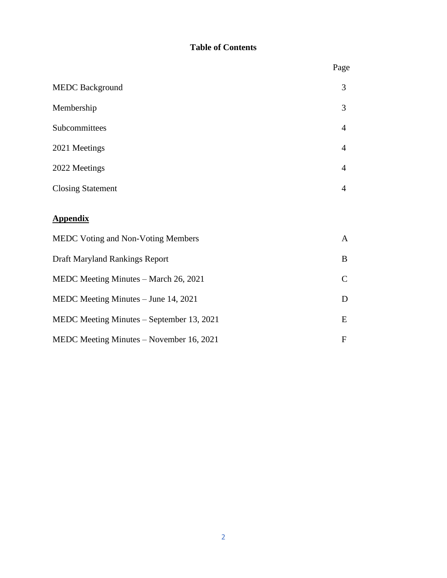# **Table of Contents**

|                                           | Page           |
|-------------------------------------------|----------------|
| <b>MEDC Background</b>                    | 3              |
| Membership                                | 3              |
| Subcommittees                             | $\overline{4}$ |
| 2021 Meetings                             | $\overline{4}$ |
| 2022 Meetings                             | $\overline{4}$ |
| <b>Closing Statement</b>                  | 4              |
| <b>Appendix</b>                           |                |
| MEDC Voting and Non-Voting Members        | $\mathbf{A}$   |
| Draft Maryland Rankings Report            | B              |
| MEDC Meeting Minutes - March 26, 2021     | $\mathsf{C}$   |
| MEDC Meeting Minutes - June 14, 2021      | D              |
| MEDC Meeting Minutes – September 13, 2021 | E              |
| MEDC Meeting Minutes – November 16, 2021  | $\mathbf{F}$   |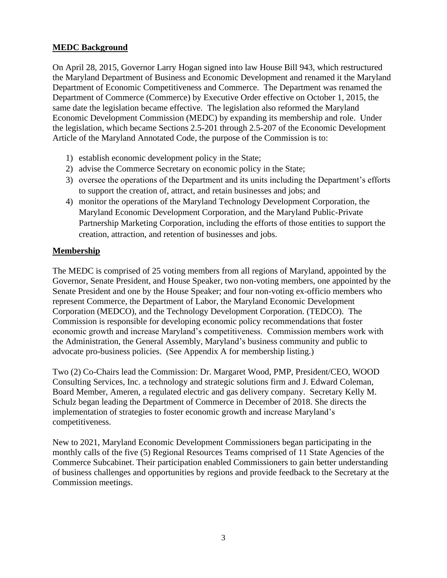# **MEDC Background**

On April 28, 2015, Governor Larry Hogan signed into law House Bill 943, which restructured the Maryland Department of Business and Economic Development and renamed it the Maryland Department of Economic Competitiveness and Commerce. The Department was renamed the Department of Commerce (Commerce) by Executive Order effective on October 1, 2015, the same date the legislation became effective. The legislation also reformed the Maryland Economic Development Commission (MEDC) by expanding its membership and role. Under the legislation, which became Sections 2.5-201 through 2.5-207 of the Economic Development Article of the Maryland Annotated Code, the purpose of the Commission is to:

- 1) establish economic development policy in the State;
- 2) advise the Commerce Secretary on economic policy in the State;
- 3) oversee the operations of the Department and its units including the Department's efforts to support the creation of, attract, and retain businesses and jobs; and
- 4) monitor the operations of the Maryland Technology Development Corporation, the Maryland Economic Development Corporation, and the Maryland Public-Private Partnership Marketing Corporation, including the efforts of those entities to support the creation, attraction, and retention of businesses and jobs.

# **Membership**

The MEDC is comprised of 25 voting members from all regions of Maryland, appointed by the Governor, Senate President, and House Speaker, two non-voting members, one appointed by the Senate President and one by the House Speaker; and four non-voting ex-officio members who represent Commerce, the Department of Labor, the Maryland Economic Development Corporation (MEDCO), and the Technology Development Corporation. (TEDCO). The Commission is responsible for developing economic policy recommendations that foster economic growth and increase Maryland's competitiveness. Commission members work with the Administration, the General Assembly, Maryland's business community and public to advocate pro-business policies. (See Appendix A for membership listing.)

Two (2) Co-Chairs lead the Commission: Dr. Margaret Wood, PMP, President/CEO, WOOD Consulting Services, Inc. a technology and strategic solutions firm and J. Edward Coleman, Board Member, Ameren, a regulated electric and gas delivery company. Secretary Kelly M. Schulz began leading the Department of Commerce in December of 2018. She directs the implementation of strategies to foster economic growth and increase Maryland's competitiveness.

New to 2021, Maryland Economic Development Commissioners began participating in the monthly calls of the five (5) Regional Resources Teams comprised of 11 State Agencies of the Commerce Subcabinet. Their participation enabled Commissioners to gain better understanding of business challenges and opportunities by regions and provide feedback to the Secretary at the Commission meetings.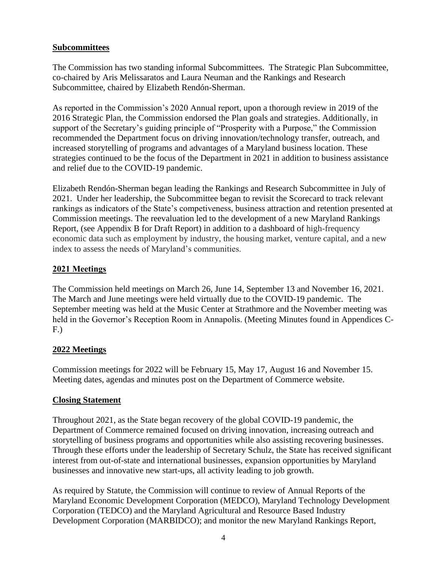# **Subcommittees**

The Commission has two standing informal Subcommittees. The Strategic Plan Subcommittee, co-chaired by Aris Melissaratos and Laura Neuman and the Rankings and Research Subcommittee, chaired by Elizabeth Rendón-Sherman.

As reported in the Commission's 2020 Annual report, upon a thorough review in 2019 of the 2016 Strategic Plan, the Commission endorsed the Plan goals and strategies. Additionally, in support of the Secretary's guiding principle of "Prosperity with a Purpose," the Commission recommended the Department focus on driving innovation/technology transfer, outreach, and increased storytelling of programs and advantages of a Maryland business location. These strategies continued to be the focus of the Department in 2021 in addition to business assistance and relief due to the COVID-19 pandemic.

Elizabeth Rendón-Sherman began leading the Rankings and Research Subcommittee in July of 2021. Under her leadership, the Subcommittee began to revisit the Scorecard to track relevant rankings as indicators of the State's competiveness, business attraction and retention presented at Commission meetings. The reevaluation led to the development of a new Maryland Rankings Report, (see Appendix B for Draft Report) in addition to a dashboard of high-frequency economic data such as employment by industry, the housing market, venture capital, and a new index to assess the needs of Maryland's communities.

# **2021 Meetings**

The Commission held meetings on March 26, June 14, September 13 and November 16, 2021. The March and June meetings were held virtually due to the COVID-19 pandemic. The September meeting was held at the Music Center at Strathmore and the November meeting was held in the Governor's Reception Room in Annapolis. (Meeting Minutes found in Appendices C-F.)

# **2022 Meetings**

Commission meetings for 2022 will be February 15, May 17, August 16 and November 15. Meeting dates, agendas and minutes post on the Department of Commerce website.

# **Closing Statement**

Throughout 2021, as the State began recovery of the global COVID-19 pandemic, the Department of Commerce remained focused on driving innovation, increasing outreach and storytelling of business programs and opportunities while also assisting recovering businesses. Through these efforts under the leadership of Secretary Schulz, the State has received significant interest from out-of-state and international businesses, expansion opportunities by Maryland businesses and innovative new start-ups, all activity leading to job growth.

As required by Statute, the Commission will continue to review of Annual Reports of the Maryland Economic Development Corporation (MEDCO), Maryland Technology Development Corporation (TEDCO) and the Maryland Agricultural and Resource Based Industry Development Corporation (MARBIDCO); and monitor the new Maryland Rankings Report,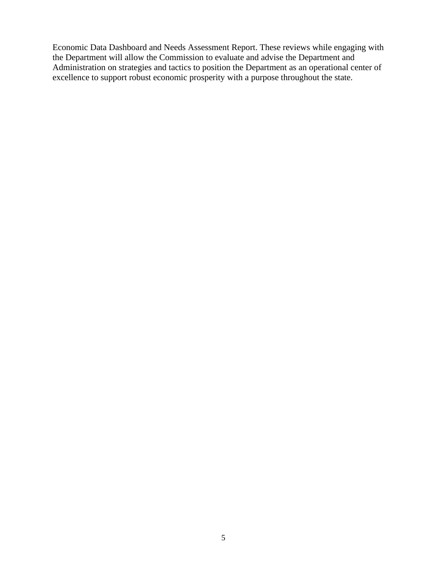Economic Data Dashboard and Needs Assessment Report. These reviews while engaging with the Department will allow the Commission to evaluate and advise the Department and Administration on strategies and tactics to position the Department as an operational center of excellence to support robust economic prosperity with a purpose throughout the state.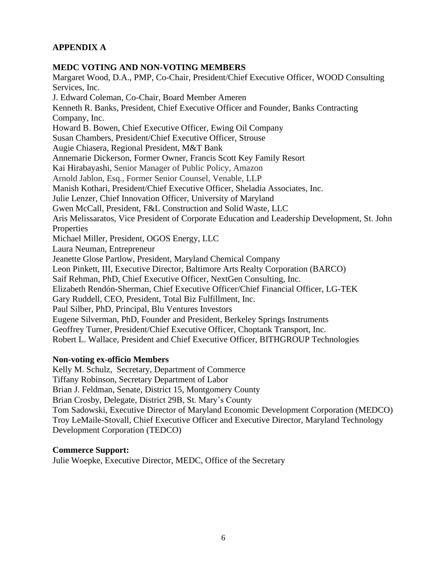# **APPENDIX A**

# **MEDC VOTING AND NON-VOTING MEMBERS**

Margaret Wood, D.A., PMP, Co-Chair, President/Chief Executive Officer, WOOD Consulting Services, Inc. J. Edward Coleman, Co-Chair, Board Member Ameren Kenneth R. Banks, President, Chief Executive Officer and Founder, Banks Contracting Company, Inc. Howard B. Bowen, Chief Executive Officer, Ewing Oil Company Susan Chambers, President/Chief Executive Officer, Strouse Augie Chiasera, Regional President, M&T Bank Annemarie Dickerson, Former Owner, Francis Scott Key Family Resort Kai Hirabayashi, Senior Manager of Public Policy, Amazon Arnold Jablon, Esq., Former Senior Counsel, Venable, LLP Manish Kothari, President/Chief Executive Officer, Sheladia Associates, Inc. Julie Lenzer, Chief Innovation Officer, University of Maryland Gwen McCall, President, F&L Construction and Solid Waste, LLC Aris Melissaratos, Vice President of Corporate Education and Leadership Development, St. John Properties Michael Miller, President, OGOS Energy, LLC Laura Neuman, Entrepreneur Jeanette Glose Partlow, President, Maryland Chemical Company Leon Pinkett, III, Executive Director, Baltimore Arts Realty Corporation (BARCO) Saif Rehman, PhD, Chief Executive Officer, NextGen Consulting, Inc. Elizabeth Rendón-Sherman, Chief Executive Officer/Chief Financial Officer, LG-TEK Gary Ruddell, CEO, President, Total Biz Fulfillment, Inc. Paul Silber, PhD, Principal, Blu Ventures Investors Eugene Silverman, PhD, Founder and President, Berkeley Springs Instruments Geoffrey Turner, President/Chief Executive Officer, Choptank Transport, Inc. Robert L. Wallace, President and Chief Executive Officer, BITHGROUP Technologies

# **Non-voting ex-officio Members**

Kelly M. Schulz, Secretary, Department of Commerce Tiffany Robinson, Secretary Department of Labor Brian J. Feldman, Senate, District 15, Montgomery County Brian Crosby, Delegate, District 29B, St. Mary's County Tom Sadowski, Executive Director of Maryland Economic Development Corporation (MEDCO) Troy LeMaile-Stovall, Chief Executive Officer and Executive Director, Maryland Technology Development Corporation (TEDCO)

# **Commerce Support:**

Julie Woepke, Executive Director, MEDC, Office of the Secretary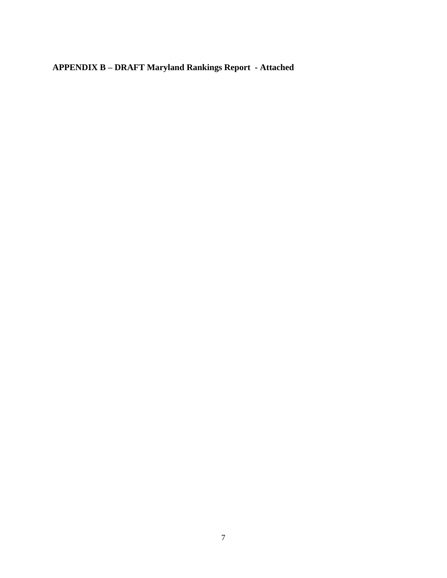**APPENDIX B – DRAFT Maryland Rankings Report - Attached**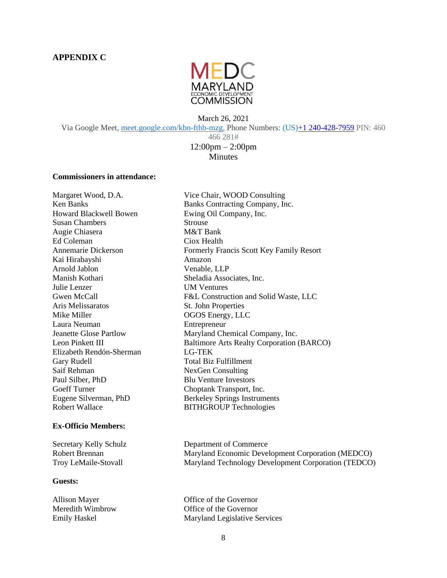

March 26, 2021 Via Google Meet, [meet.google.com/kbn-fthb-mzg,](https://meet.google.com/kbn-fthb-mzg?hs=122&authuser=0) Phone Numbers: (US[\)+1 240-428-7959](tel:%E2%80%AA+1%20240-428-7959%E2%80%AC) PIN: 460 466 281# 12:00pm – 2:00pm

### **Minutes**

### **Commissioners in attendance:**

Howard Blackwell Bowen Ewing Oil Company, Inc. Susan Chambers Strouse Augie Chiasera M&T Bank Ed Coleman Ciox Health Kai Hirabayshi **Amazon** Arnold Jablon Venable, LLP Manish Kothari Sheladia Associates, Inc. Julie Lenzer UM Ventures Aris Melissaratos St. John Properties Mike Miller **OGOS** Energy, LLC Laura Neuman **Entrepreneur** Elizabeth Rendón-Sherman LG-TEK Gary Rudell **Total Biz Fulfillment** Saif Rehman NexGen Consulting Paul Silber, PhD Blu Venture Investors Goeff Turner Choptank Transport, Inc. Robert Wallace BITHGROUP Technologies

#### **Ex-Officio Members:**

### **Guests:**

Margaret Wood, D.A. Vice Chair, WOOD Consulting Ken Banks Banks Banks Contracting Company, Inc. Annemarie Dickerson Formerly Francis Scott Key Family Resort Gwen McCall F&L Construction and Solid Waste, LLC Jeanette Glose Partlow Maryland Chemical Company, Inc. Leon Pinkett III Baltimore Arts Realty Corporation (BARCO) Eugene Silverman, PhD Berkeley Springs Instruments

Secretary Kelly Schulz Department of Commerce Robert Brennan Maryland Economic Development Corporation (MEDCO) Troy LeMaile-Stovall Maryland Technology Development Corporation (TEDCO)

Allison Mayer **Office of the Governor** Meredith Wimbrow Office of the Governor Emily Haskel Maryland Legislative Services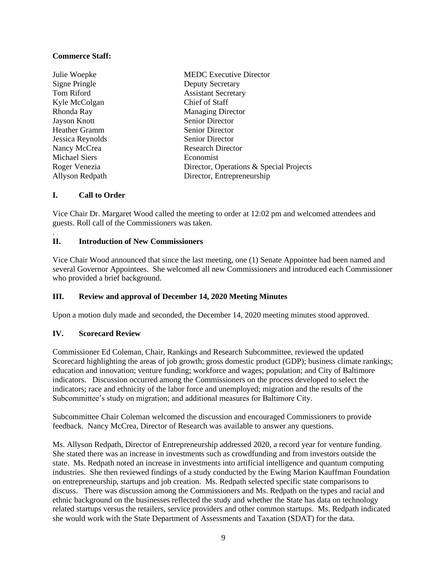### **Commerce Staff:**

| Julie Woepke         | <b>MEDC</b> Executive Director          |
|----------------------|-----------------------------------------|
| Signe Pringle        | <b>Deputy Secretary</b>                 |
| Tom Riford           | <b>Assistant Secretary</b>              |
| Kyle McColgan        | Chief of Staff                          |
| Rhonda Ray           | <b>Managing Director</b>                |
| Jayson Knott         | <b>Senior Director</b>                  |
| <b>Heather Gramm</b> | <b>Senior Director</b>                  |
| Jessica Reynolds     | <b>Senior Director</b>                  |
| Nancy McCrea         | <b>Research Director</b>                |
| <b>Michael Siers</b> | Economist                               |
| Roger Venezia        | Director, Operations & Special Projects |
| Allyson Redpath      | Director, Entrepreneurship              |

### **I. Call to Order**

.

Vice Chair Dr. Margaret Wood called the meeting to order at 12:02 pm and welcomed attendees and guests. Roll call of the Commissioners was taken.

### **II. Introduction of New Commissioners**

Vice Chair Wood announced that since the last meeting, one (1) Senate Appointee had been named and several Governor Appointees. She welcomed all new Commissioners and introduced each Commissioner who provided a brief background.

### **III. Review and approval of December 14, 2020 Meeting Minutes**

Upon a motion duly made and seconded, the December 14, 2020 meeting minutes stood approved.

### **IV. Scorecard Review**

Commissioner Ed Coleman, Chair, Rankings and Research Subcommittee, reviewed the updated Scorecard highlighting the areas of job growth; gross domestic product (GDP); business climate rankings; education and innovation; venture funding; workforce and wages; population; and City of Baltimore indicators. Discussion occurred among the Commissioners on the process developed to select the indicators; race and ethnicity of the labor force and unemployed; migration and the results of the Subcommittee's study on migration; and additional measures for Baltimore City.

Subcommittee Chair Coleman welcomed the discussion and encouraged Commissioners to provide feedback. Nancy McCrea, Director of Research was available to answer any questions.

Ms. Allyson Redpath, Director of Entrepreneurship addressed 2020, a record year for venture funding. She stated there was an increase in investments such as crowdfunding and from investors outside the state. Ms. Redpath noted an increase in investments into artificial intelligence and quantum computing industries. She then reviewed findings of a study conducted by the Ewing Marion Kauffman Foundation on entrepreneurship, startups and job creation. Ms. Redpath selected specific state comparisons to discuss. There was discussion among the Commissioners and Ms. Redpath on the types and racial and ethnic background on the businesses reflected the study and whether the State has data on technology related startups versus the retailers, service providers and other common startups. Ms. Redpath indicated she would work with the State Department of Assessments and Taxation (SDAT) for the data.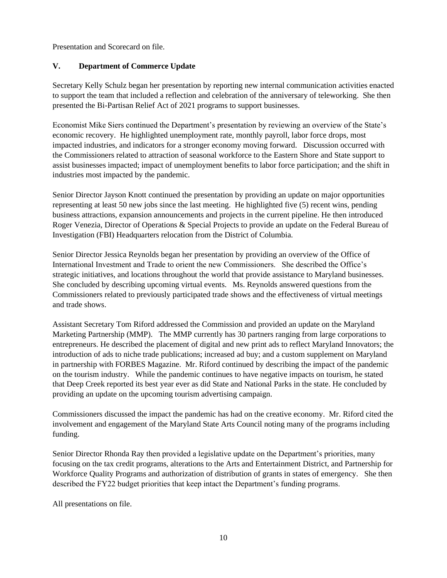Presentation and Scorecard on file.

# **V. Department of Commerce Update**

Secretary Kelly Schulz began her presentation by reporting new internal communication activities enacted to support the team that included a reflection and celebration of the anniversary of teleworking. She then presented the Bi-Partisan Relief Act of 2021 programs to support businesses.

Economist Mike Siers continued the Department's presentation by reviewing an overview of the State's economic recovery. He highlighted unemployment rate, monthly payroll, labor force drops, most impacted industries, and indicators for a stronger economy moving forward. Discussion occurred with the Commissioners related to attraction of seasonal workforce to the Eastern Shore and State support to assist businesses impacted; impact of unemployment benefits to labor force participation; and the shift in industries most impacted by the pandemic.

Senior Director Jayson Knott continued the presentation by providing an update on major opportunities representing at least 50 new jobs since the last meeting. He highlighted five (5) recent wins, pending business attractions, expansion announcements and projects in the current pipeline. He then introduced Roger Venezia, Director of Operations & Special Projects to provide an update on the Federal Bureau of Investigation (FBI) Headquarters relocation from the District of Columbia.

Senior Director Jessica Reynolds began her presentation by providing an overview of the Office of International Investment and Trade to orient the new Commissioners. She described the Office's strategic initiatives, and locations throughout the world that provide assistance to Maryland businesses. She concluded by describing upcoming virtual events. Ms. Reynolds answered questions from the Commissioners related to previously participated trade shows and the effectiveness of virtual meetings and trade shows.

Assistant Secretary Tom Riford addressed the Commission and provided an update on the Maryland Marketing Partnership (MMP). The MMP currently has 30 partners ranging from large corporations to entrepreneurs. He described the placement of digital and new print ads to reflect Maryland Innovators; the introduction of ads to niche trade publications; increased ad buy; and a custom supplement on Maryland in partnership with FORBES Magazine. Mr. Riford continued by describing the impact of the pandemic on the tourism industry. While the pandemic continues to have negative impacts on tourism, he stated that Deep Creek reported its best year ever as did State and National Parks in the state. He concluded by providing an update on the upcoming tourism advertising campaign.

Commissioners discussed the impact the pandemic has had on the creative economy. Mr. Riford cited the involvement and engagement of the Maryland State Arts Council noting many of the programs including funding.

Senior Director Rhonda Ray then provided a legislative update on the Department's priorities, many focusing on the tax credit programs, alterations to the Arts and Entertainment District, and Partnership for Workforce Quality Programs and authorization of distribution of grants in states of emergency. She then described the FY22 budget priorities that keep intact the Department's funding programs.

All presentations on file.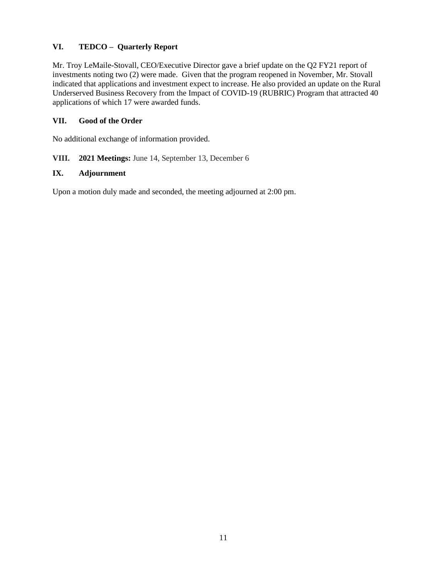# **VI. TEDCO – Quarterly Report**

Mr. Troy LeMaile-Stovall, CEO/Executive Director gave a brief update on the Q2 FY21 report of investments noting two (2) were made. Given that the program reopened in November, Mr. Stovall indicated that applications and investment expect to increase. He also provided an update on the Rural Underserved Business Recovery from the Impact of COVID-19 (RUBRIC) Program that attracted 40 applications of which 17 were awarded funds.

# **VII. Good of the Order**

No additional exchange of information provided.

### **VIII. 2021 Meetings:** June 14, September 13, December 6

### **IX. Adjournment**

Upon a motion duly made and seconded, the meeting adjourned at 2:00 pm.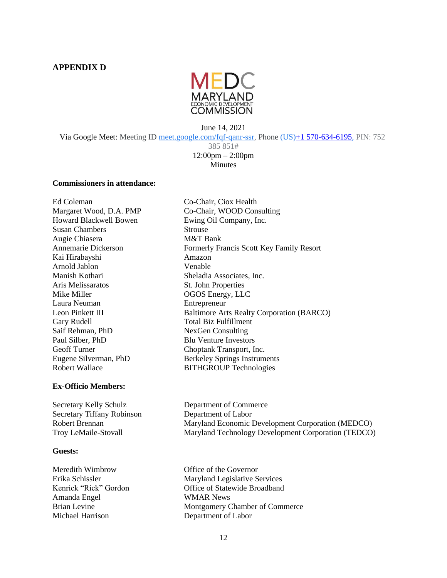### **APPENDIX D**



June 14, 2021 Via Google Meet: Meeting ID [meet.google.com/fqf-qanr-ssr,](https://meet.google.com/fqf-qanr-ssr?hs=122&authuser=0) Phone (US[\)+1 570-634-6195,](tel:%E2%80%AA+1%20570-634-6195%E2%80%AC) PIN: 752

385 851# 12:00pm – 2:00pm **Minutes** 

#### **Commissioners in attendance:**

Ed Coleman Co-Chair, Ciox Health Howard Blackwell Bowen Ewing Oil Company, Inc. Susan Chambers Strouse Augie Chiasera M&T Bank Kai Hirabayshi Amazon Arnold Jablon Venable Manish Kothari Sheladia Associates, Inc. Aris Melissaratos St. John Properties Mike Miller **OGOS** Energy, LLC Laura Neuman Entrepreneur Gary Rudell **Total Biz Fulfillment** Saif Rehman, PhD NexGen Consulting Paul Silber, PhD Blu Venture Investors Geoff Turner Choptank Transport, Inc. Robert Wallace BITHGROUP Technologies

#### **Ex-Officio Members:**

Secretary Kelly Schulz Department of Commerce Secretary Tiffany Robinson Department of Labor

#### **Guests:**

Meredith Wimbrow Office of the Governor Amanda Engel WMAR News Michael Harrison Department of Labor

Margaret Wood, D.A. PMP Co-Chair, WOOD Consulting Annemarie Dickerson Formerly Francis Scott Key Family Resort Leon Pinkett III Baltimore Arts Realty Corporation (BARCO) Eugene Silverman, PhD Berkeley Springs Instruments

Robert Brennan Maryland Economic Development Corporation (MEDCO) Troy LeMaile-Stovall Maryland Technology Development Corporation (TEDCO)

Erika Schissler Maryland Legislative Services Kenrick "Rick" Gordon **Office of Statewide Broadband** Brian Levine Montgomery Chamber of Commerce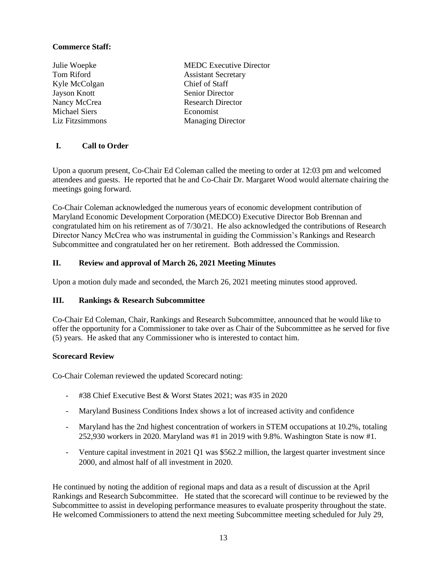### **Commerce Staff:**

- Kyle McColgan Chief of Staff Jayson Knott Senior Director Michael Siers **Economist**
- Julie Woepke MEDC Executive Director Tom Riford **Assistant Secretary** Nancy McCrea Research Director Liz Fitzsimmons Managing Director

# **I. Call to Order**

Upon a quorum present, Co-Chair Ed Coleman called the meeting to order at 12:03 pm and welcomed attendees and guests. He reported that he and Co-Chair Dr. Margaret Wood would alternate chairing the meetings going forward.

Co-Chair Coleman acknowledged the numerous years of economic development contribution of Maryland Economic Development Corporation (MEDCO) Executive Director Bob Brennan and congratulated him on his retirement as of 7/30/21. He also acknowledged the contributions of Research Director Nancy McCrea who was instrumental in guiding the Commission's Rankings and Research Subcommittee and congratulated her on her retirement. Both addressed the Commission.

# **II. Review and approval of March 26, 2021 Meeting Minutes**

Upon a motion duly made and seconded, the March 26, 2021 meeting minutes stood approved.

### **III. Rankings & Research Subcommittee**

Co-Chair Ed Coleman, Chair, Rankings and Research Subcommittee, announced that he would like to offer the opportunity for a Commissioner to take over as Chair of the Subcommittee as he served for five (5) years. He asked that any Commissioner who is interested to contact him.

### **Scorecard Review**

Co-Chair Coleman reviewed the updated Scorecard noting:

- #38 Chief Executive Best & Worst States 2021; was #35 in 2020
- Maryland Business Conditions Index shows a lot of increased activity and confidence
- Maryland has the 2nd highest concentration of workers in STEM occupations at 10.2%, totaling 252,930 workers in 2020. Maryland was #1 in 2019 with 9.8%. Washington State is now #1.
- Venture capital investment in 2021 Q1 was \$562.2 million, the largest quarter investment since 2000, and almost half of all investment in 2020.

He continued by noting the addition of regional maps and data as a result of discussion at the April Rankings and Research Subcommittee. He stated that the scorecard will continue to be reviewed by the Subcommittee to assist in developing performance measures to evaluate prosperity throughout the state. He welcomed Commissioners to attend the next meeting Subcommittee meeting scheduled for July 29,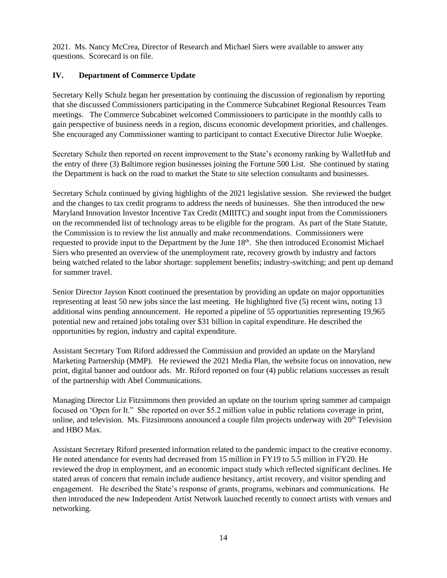2021. Ms. Nancy McCrea, Director of Research and Michael Siers were available to answer any questions. Scorecard is on file.

# **IV. Department of Commerce Update**

Secretary Kelly Schulz began her presentation by continuing the discussion of regionalism by reporting that she discussed Commissioners participating in the Commerce Subcabinet Regional Resources Team meetings. The Commerce Subcabinet welcomed Commissioners to participate in the monthly calls to gain perspective of business needs in a region, discuss economic development priorities, and challenges. She encouraged any Commissioner wanting to participant to contact Executive Director Julie Woepke.

Secretary Schulz then reported on recent improvement to the State's economy ranking by WalletHub and the entry of three (3) Baltimore region businesses joining the Fortune 500 List. She continued by stating the Department is back on the road to market the State to site selection consultants and businesses.

Secretary Schulz continued by giving highlights of the 2021 legislative session. She reviewed the budget and the changes to tax credit programs to address the needs of businesses. She then introduced the new Maryland Innovation Investor Incentive Tax Credit (MIIITC) and sought input from the Commissioners on the recommended list of technology areas to be eligible for the program. As part of the State Statute, the Commission is to review the list annually and make recommendations. Commissioners were requested to provide input to the Department by the June 18<sup>th</sup>. She then introduced Economist Michael Siers who presented an overview of the unemployment rate, recovery growth by industry and factors being watched related to the labor shortage: supplement benefits; industry-switching; and pent up demand for summer travel.

Senior Director Jayson Knott continued the presentation by providing an update on major opportunities representing at least 50 new jobs since the last meeting. He highlighted five (5) recent wins, noting 13 additional wins pending announcement. He reported a pipeline of 55 opportunities representing 19,965 potential new and retained jobs totaling over \$31 billion in capital expenditure. He described the opportunities by region, industry and capital expenditure.

Assistant Secretary Tom Riford addressed the Commission and provided an update on the Maryland Marketing Partnership (MMP). He reviewed the 2021 Media Plan, the website focus on innovation, new print, digital banner and outdoor ads. Mr. Riford reported on four (4) public relations successes as result of the partnership with Abel Communications.

Managing Director Liz Fitzsimmons then provided an update on the tourism spring summer ad campaign focused on 'Open for It." She reported on over \$5.2 million value in public relations coverage in print, online, and television. Ms. Fitzsimmons announced a couple film projects underway with 20<sup>th</sup> Television and HBO Max.

Assistant Secretary Riford presented information related to the pandemic impact to the creative economy. He noted attendance for events had decreased from 15 million in FY19 to 5.5 million in FY20. He reviewed the drop in employment, and an economic impact study which reflected significant declines. He stated areas of concern that remain include audience hesitancy, artist recovery, and visitor spending and engagement. He described the State's response of grants, programs, webinars and communications. He then introduced the new Independent Artist Network launched recently to connect artists with venues and networking.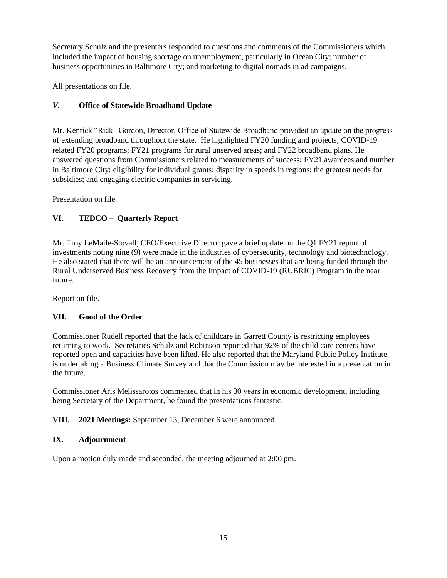Secretary Schulz and the presenters responded to questions and comments of the Commissioners which included the impact of housing shortage on unemployment, particularly in Ocean City; number of business opportunities in Baltimore City; and marketing to digital nomads in ad campaigns.

All presentations on file.

# *V.* **Office of Statewide Broadband Update**

Mr. Kenrick "Rick" Gordon, Director, Office of Statewide Broadband provided an update on the progress of extending broadband throughout the state. He highlighted FY20 funding and projects; COVID-19 related FY20 programs; FY21 programs for rural unserved areas; and FY22 broadband plans. He answered questions from Commissioners related to measurements of success; FY21 awardees and number in Baltimore City; eligibility for individual grants; disparity in speeds in regions; the greatest needs for subsidies; and engaging electric companies in servicing.

Presentation on file.

# **VI. TEDCO – Quarterly Report**

Mr. Troy LeMaile-Stovall, CEO/Executive Director gave a brief update on the Q1 FY21 report of investments noting nine (9) were made in the industries of cybersecurity, technology and biotechnology. He also stated that there will be an announcement of the 45 businesses that are being funded through the Rural Underserved Business Recovery from the Impact of COVID-19 (RUBRIC) Program in the near future.

Report on file.

# **VII. Good of the Order**

Commissioner Rudell reported that the lack of childcare in Garrett County is restricting employees returning to work. Secretaries Schulz and Robinson reported that 92% of the child care centers have reported open and capacities have been lifted. He also reported that the Maryland Public Policy Institute is undertaking a Business Climate Survey and that the Commission may be interested in a presentation in the future.

Commissioner Aris Melissarotos commented that in his 30 years in economic development, including being Secretary of the Department, he found the presentations fantastic.

# **VIII. 2021 Meetings:** September 13, December 6 were announced.

# **IX. Adjournment**

Upon a motion duly made and seconded, the meeting adjourned at 2:00 pm.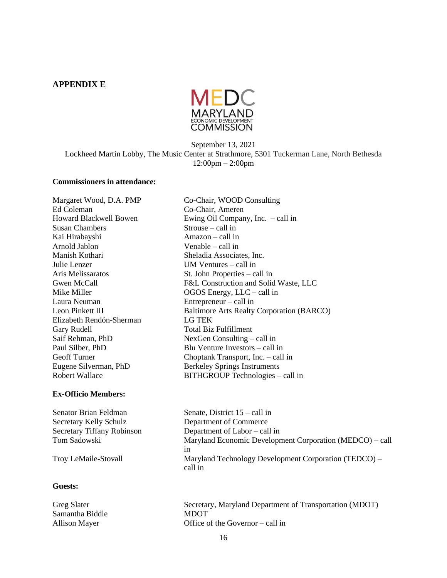### **APPENDIX E**



September 13, 2021 Lockheed Martin Lobby, The Music Center at Strathmore, 5301 Tuckerman Lane, North Bethesda 12:00pm – 2:00pm

Co-Chair, Ameren

### **Commissioners in attendance:**

Margaret Wood, D.A. PMP Co-Chair, WOOD Consulting<br>Ed Coleman Co-Chair. Ameren Howard Blackwell Bowen Ewing Oil Company, Inc. – call in Susan Chambers Strouse – call in Kai Hirabayshi Amazon – call in Arnold Jablon Venable – call in Manish Kothari Sheladia Associates, Inc. Julie Lenzer UM Ventures – call in Aris Melissaratos St. John Properties – call in Gwen McCall F&L Construction and Solid Waste, LLC Mike Miller **OGOS** Energy, LLC – call in Laura Neuman Entrepreneur – call in Leon Pinkett III Baltimore Arts Realty Corporation (BARCO) Elizabeth Rendón-Sherman LG TEK Gary Rudell **Total Biz Fulfillment** Saif Rehman, PhD NexGen Consulting – call in Paul Silber, PhD Blu Venture Investors – call in Geoff Turner Choptank Transport, Inc. – call in Eugene Silverman, PhD Berkeley Springs Instruments Robert Wallace BITHGROUP Technologies – call in

#### **Ex-Officio Members:**

Senator Brian Feldman Senate, District 15 – call in Secretary Kelly Schulz Department of Commerce<br>Secretary Tiffany Robinson Department of Labor – cal Department of Labor – call in Tom Sadowski Maryland Economic Development Corporation (MEDCO) – call in Troy LeMaile-Stovall Maryland Technology Development Corporation (TEDCO) – call in

### **Guests:**

Greg Slater Secretary, Maryland Department of Transportation (MDOT) Samantha Biddle MDOT Allison Mayer **Office** of the Governor – call in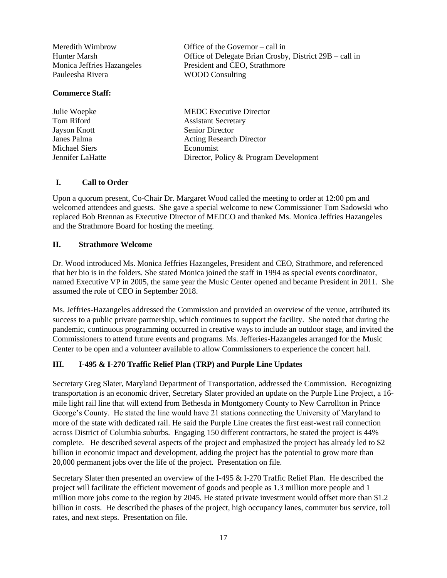| Meredith Wimbrow           | Office of the Governor – call in                        |
|----------------------------|---------------------------------------------------------|
| Hunter Marsh               | Office of Delegate Brian Crosby, District 29B – call in |
| Monica Jeffries Hazangeles | President and CEO, Strathmore                           |
| Pauleesha Rivera           | <b>WOOD</b> Consulting                                  |
| <b>Commerce Staff:</b>     |                                                         |

| Julie Woepke     | <b>MEDC</b> Executive Director         |
|------------------|----------------------------------------|
| Tom Riford       | <b>Assistant Secretary</b>             |
| Jayson Knott     | Senior Director                        |
| Janes Palma      | <b>Acting Research Director</b>        |
| Michael Siers    | Economist                              |
| Jennifer LaHatte | Director, Policy & Program Development |

### **I. Call to Order**

Upon a quorum present, Co-Chair Dr. Margaret Wood called the meeting to order at 12:00 pm and welcomed attendees and guests. She gave a special welcome to new Commissioner Tom Sadowski who replaced Bob Brennan as Executive Director of MEDCO and thanked Ms. Monica Jeffries Hazangeles and the Strathmore Board for hosting the meeting.

#### **II. Strathmore Welcome**

Dr. Wood introduced Ms. Monica Jeffries Hazangeles, President and CEO, Strathmore, and referenced that her bio is in the folders. She stated Monica joined the staff in 1994 as special events coordinator, named Executive VP in 2005, the same year the Music Center opened and became President in 2011. She assumed the role of CEO in September 2018.

Ms. Jeffries-Hazangeles addressed the Commission and provided an overview of the venue, attributed its success to a public private partnership, which continues to support the facility. She noted that during the pandemic, continuous programming occurred in creative ways to include an outdoor stage, and invited the Commissioners to attend future events and programs. Ms. Jefferies-Hazangeles arranged for the Music Center to be open and a volunteer available to allow Commissioners to experience the concert hall.

### **III. I-495 & I-270 Traffic Relief Plan (TRP) and Purple Line Updates**

Secretary Greg Slater, Maryland Department of Transportation, addressed the Commission. Recognizing transportation is an economic driver, Secretary Slater provided an update on the Purple Line Project, a 16 mile light rail line that will extend from Bethesda in Montgomery County to New Carrollton in Prince George's County. He stated the line would have 21 stations connecting the University of Maryland to more of the state with dedicated rail. He said the Purple Line creates the first east-west rail connection across District of Columbia suburbs. Engaging 150 different contractors, he stated the project is 44% complete. He described several aspects of the project and emphasized the project has already led to \$2 billion in economic impact and development, adding the project has the potential to grow more than 20,000 permanent jobs over the life of the project. Presentation on file.

Secretary Slater then presented an overview of the I-495 & I-270 Traffic Relief Plan. He described the project will facilitate the efficient movement of goods and people as 1.3 million more people and 1 million more jobs come to the region by 2045. He stated private investment would offset more than \$1.2 billion in costs. He described the phases of the project, high occupancy lanes, commuter bus service, toll rates, and next steps. Presentation on file.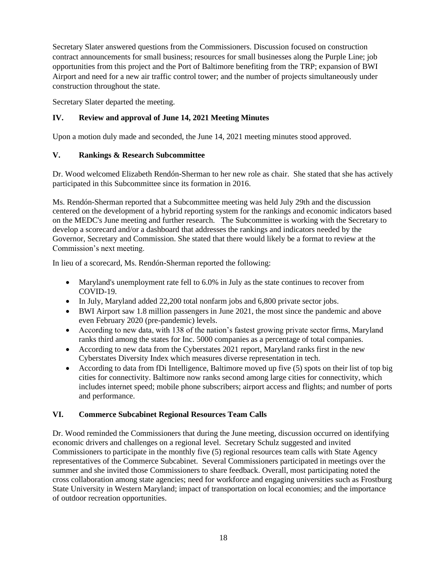Secretary Slater answered questions from the Commissioners. Discussion focused on construction contract announcements for small business; resources for small businesses along the Purple Line; job opportunities from this project and the Port of Baltimore benefiting from the TRP; expansion of BWI Airport and need for a new air traffic control tower; and the number of projects simultaneously under construction throughout the state.

Secretary Slater departed the meeting.

# **IV. Review and approval of June 14, 2021 Meeting Minutes**

Upon a motion duly made and seconded, the June 14, 2021 meeting minutes stood approved.

# **V. Rankings & Research Subcommittee**

Dr. Wood welcomed Elizabeth Rendón-Sherman to her new role as chair. She stated that she has actively participated in this Subcommittee since its formation in 2016.

Ms. Rendón-Sherman reported that a Subcommittee meeting was held July 29th and the discussion centered on the development of a hybrid reporting system for the rankings and economic indicators based on the MEDC's June meeting and further research. The Subcommittee is working with the Secretary to develop a scorecard and/or a dashboard that addresses the rankings and indicators needed by the Governor, Secretary and Commission. She stated that there would likely be a format to review at the Commission's next meeting.

In lieu of a scorecard, Ms. Rendón-Sherman reported the following:

- Maryland's unemployment rate fell to 6.0% in July as the state continues to recover from COVID-19.
- In July, Maryland added 22,200 total nonfarm jobs and 6,800 private sector jobs.
- BWI Airport saw 1.8 million passengers in June 2021, the most since the pandemic and above even February 2020 (pre-pandemic) levels.
- According to new data, with 138 of the nation's fastest growing private sector firms, Maryland ranks third among the states for Inc. 5000 companies as a percentage of total companies.
- According to new data from the Cyberstates 2021 report, Maryland ranks first in the new Cyberstates Diversity Index which measures diverse representation in tech.
- According to data from fDi Intelligence, Baltimore moved up five (5) spots on their list of top big cities for connectivity. Baltimore now ranks second among large cities for connectivity, which includes internet speed; mobile phone subscribers; airport access and flights; and number of ports and performance.

### **VI. Commerce Subcabinet Regional Resources Team Calls**

Dr. Wood reminded the Commissioners that during the June meeting, discussion occurred on identifying economic drivers and challenges on a regional level. Secretary Schulz suggested and invited Commissioners to participate in the monthly five (5) regional resources team calls with State Agency representatives of the Commerce Subcabinet. Several Commissioners participated in meetings over the summer and she invited those Commissioners to share feedback. Overall, most participating noted the cross collaboration among state agencies; need for workforce and engaging universities such as Frostburg State University in Western Maryland; impact of transportation on local economies; and the importance of outdoor recreation opportunities.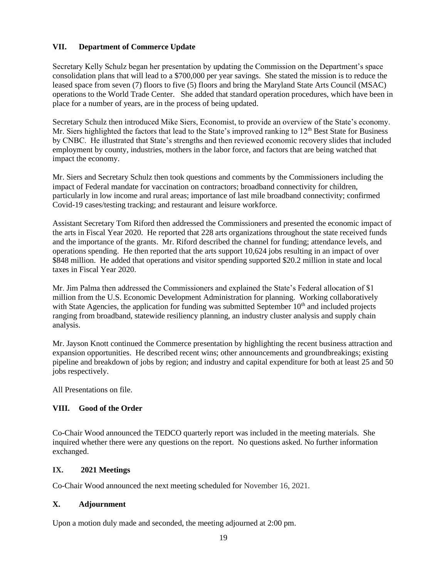### **VII. Department of Commerce Update**

Secretary Kelly Schulz began her presentation by updating the Commission on the Department's space consolidation plans that will lead to a \$700,000 per year savings. She stated the mission is to reduce the leased space from seven (7) floors to five (5) floors and bring the Maryland State Arts Council (MSAC) operations to the World Trade Center. She added that standard operation procedures, which have been in place for a number of years, are in the process of being updated.

Secretary Schulz then introduced Mike Siers, Economist, to provide an overview of the State's economy. Mr. Siers highlighted the factors that lead to the State's improved ranking to  $12<sup>th</sup>$  Best State for Business by CNBC. He illustrated that State's strengths and then reviewed economic recovery slides that included employment by county, industries, mothers in the labor force, and factors that are being watched that impact the economy.

Mr. Siers and Secretary Schulz then took questions and comments by the Commissioners including the impact of Federal mandate for vaccination on contractors; broadband connectivity for children, particularly in low income and rural areas; importance of last mile broadband connectivity; confirmed Covid-19 cases/testing tracking; and restaurant and leisure workforce.

Assistant Secretary Tom Riford then addressed the Commissioners and presented the economic impact of the arts in Fiscal Year 2020. He reported that 228 arts organizations throughout the state received funds and the importance of the grants. Mr. Riford described the channel for funding; attendance levels, and operations spending. He then reported that the arts support 10,624 jobs resulting in an impact of over \$848 million. He added that operations and visitor spending supported \$20.2 million in state and local taxes in Fiscal Year 2020.

Mr. Jim Palma then addressed the Commissioners and explained the State's Federal allocation of \$1 million from the U.S. Economic Development Administration for planning. Working collaboratively with State Agencies, the application for funding was submitted September  $10<sup>th</sup>$  and included projects ranging from broadband, statewide resiliency planning, an industry cluster analysis and supply chain analysis.

Mr. Jayson Knott continued the Commerce presentation by highlighting the recent business attraction and expansion opportunities. He described recent wins; other announcements and groundbreakings; existing pipeline and breakdown of jobs by region; and industry and capital expenditure for both at least 25 and 50 jobs respectively.

All Presentations on file.

# **VIII. Good of the Order**

Co-Chair Wood announced the TEDCO quarterly report was included in the meeting materials. She inquired whether there were any questions on the report. No questions asked. No further information exchanged.

# **IX. 2021 Meetings**

Co-Chair Wood announced the next meeting scheduled for November 16, 2021.

# **X. Adjournment**

Upon a motion duly made and seconded, the meeting adjourned at 2:00 pm.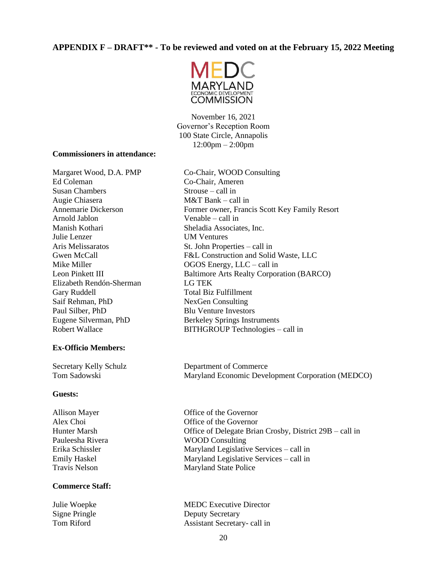# **APPENDIX F – DRAFT\*\* - To be reviewed and voted on at the February 15, 2022 Meeting**



November 16, 2021 Governor's Reception Room 100 State Circle, Annapolis  $12:00 \text{pm} - 2:00 \text{pm}$ 

#### **Commissioners in attendance:**

Ed Coleman Co-Chair, Ameren Susan Chambers Strouse – call in Augie Chiasera M&T Bank – call in Arnold Jablon Venable – call in Manish Kothari Sheladia Associates, Inc. Julie Lenzer UM Ventures Aris Melissaratos St. John Properties – call in Elizabeth Rendón-Sherman LG TEK Gary Ruddell **Total Biz Fulfillment** Saif Rehman, PhD NexGen Consulting Paul Silber, PhD Blu Venture Investors

### **Ex-Officio Members:**

#### **Guests:**

### **Commerce Staff:**

Margaret Wood, D.A. PMP Co-Chair, WOOD Consulting Annemarie Dickerson Former owner, Francis Scott Key Family Resort Gwen McCall F&L Construction and Solid Waste, LLC Mike Miller **OGOS** Energy, LLC – call in Leon Pinkett III Baltimore Arts Realty Corporation (BARCO) Eugene Silverman, PhD Berkeley Springs Instruments Robert Wallace BITHGROUP Technologies – call in

Secretary Kelly Schulz Department of Commerce Tom Sadowski Maryland Economic Development Corporation (MEDCO)

Allison Mayer **Office** of the Governor Alex Choi Office of the Governor Hunter Marsh Office of Delegate Brian Crosby, District 29B – call in Pauleesha Rivera WOOD Consulting Erika Schissler Maryland Legislative Services – call in Emily Haskel Maryland Legislative Services – call in Travis Nelson Maryland State Police

Julie Woepke MEDC Executive Director Signe Pringle Deputy Secretary Tom Riford Assistant Secretary- call in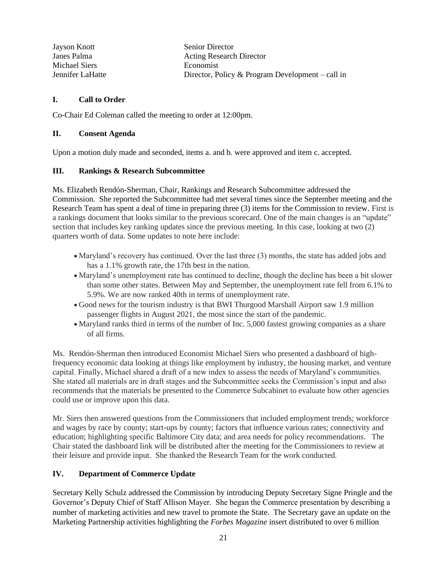| Jayson Knott     | <b>Senior Director</b>                           |
|------------------|--------------------------------------------------|
| Janes Palma      | <b>Acting Research Director</b>                  |
| Michael Siers    | Economist                                        |
| Jennifer LaHatte | Director, Policy & Program Development – call in |

### **I. Call to Order**

Co-Chair Ed Coleman called the meeting to order at 12:00pm.

### **II. Consent Agenda**

Upon a motion duly made and seconded, items a. and b. were approved and item c. accepted.

### **III. Rankings & Research Subcommittee**

Ms. Elizabeth Rendón-Sherman*,* Chair, Rankings and Research Subcommittee addressed the Commission. She reported the Subcommittee had met several times since the September meeting and the Research Team has spent a deal of time in preparing three (3) items for the Commission to review. First is a rankings document that looks similar to the previous scorecard. One of the main changes is an "update" section that includes key ranking updates since the previous meeting. In this case, looking at two (2) quarters worth of data. Some updates to note here include:

- Maryland's recovery has continued. Over the last three (3) months, the state has added jobs and has a 1.1% growth rate, the 17th best in the nation.
- Maryland's unemployment rate has continued to decline, though the decline has been a bit slower than some other states. Between May and September, the unemployment rate fell from 6.1% to 5.9%. We are now ranked 40th in terms of unemployment rate.
- Good news for the tourism industry is that BWI Thurgood Marshall Airport saw 1.9 million passenger flights in August 2021, the most since the start of the pandemic.
- Maryland ranks third in terms of the number of Inc. 5,000 fastest growing companies as a share of all firms.

Ms. Rendón-Sherman then introduced Economist Michael Siers who presented a dashboard of highfrequency economic data looking at things like employment by industry, the housing market, and venture capital. Finally, Michael shared a draft of a new index to assess the needs of Maryland's communities. She stated all materials are in draft stages and the Subcommittee seeks the Commission's input and also recommends that the materials be presented to the Commerce Subcabinet to evaluate how other agencies could use or improve upon this data.

Mr. Siers then answered questions from the Commissioners that included employment trends; workforce and wages by race by county; start-ups by county; factors that influence various rates; connectivity and education; highlighting specific Baltimore City data; and area needs for policy recommendations. The Chair stated the dashboard link will be distributed after the meeting for the Commissioners to review at their leisure and provide input. She thanked the Research Team for the work conducted.

# **IV. Department of Commerce Update**

Secretary Kelly Schulz addressed the Commission by introducing Deputy Secretary Signe Pringle and the Governor's Deputy Chief of Staff Allison Mayer. She began the Commerce presentation by describing a number of marketing activities and new travel to promote the State. The Secretary gave an update on the Marketing Partnership activities highlighting the *Forbes Magazine* insert distributed to over 6 million